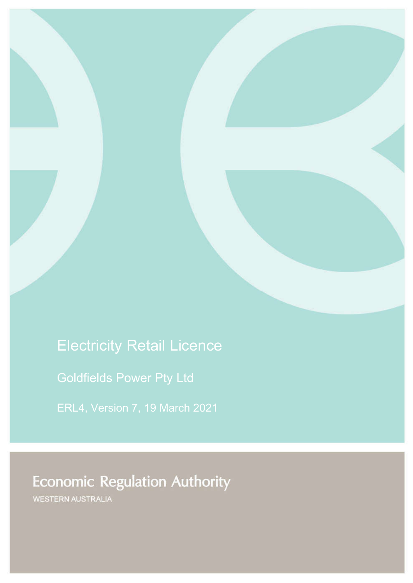# Electricity Retail Licence

Goldfields Power Pty Ltd

ERL4, Version 7, 19 March 2021

# **Economic Regulation Authority**

WESTERN AUSTRALIA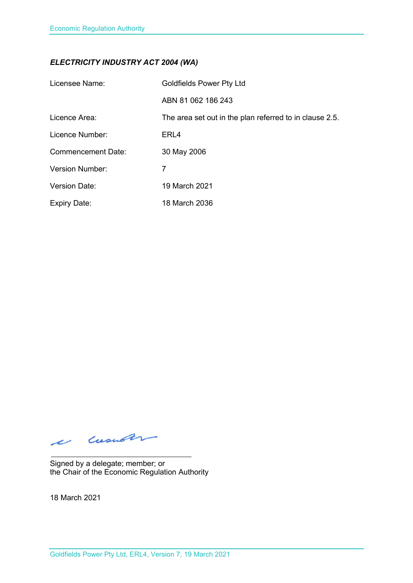### *ELECTRICITY INDUSTRY ACT 2004 (WA)*

| Licensee Name:            | <b>Goldfields Power Pty Ltd</b>                         |
|---------------------------|---------------------------------------------------------|
|                           | ABN 81 062 186 243                                      |
| Licence Area:             | The area set out in the plan referred to in clause 2.5. |
| Licence Number:           | ERL4                                                    |
| <b>Commencement Date:</b> | 30 May 2006                                             |
| <b>Version Number:</b>    | 7                                                       |
| <b>Version Date:</b>      | 19 March 2021                                           |
| <b>Expiry Date:</b>       | 18 March 2036                                           |

e cusuar

Signed by a delegate; member; or the Chair of the Economic Regulation Authority

18 March 2021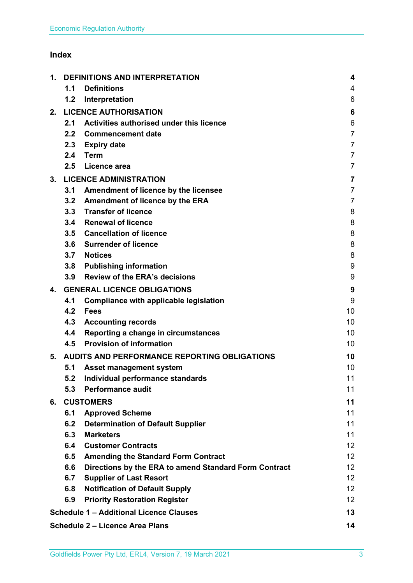## **Index**

| 1. | <b>DEFINITIONS AND INTERPRETATION</b>               |                                                       | 4                       |
|----|-----------------------------------------------------|-------------------------------------------------------|-------------------------|
|    | 1.1                                                 | <b>Definitions</b>                                    | 4                       |
|    | 1.2                                                 | Interpretation                                        | 6                       |
| 2. |                                                     | <b>LICENCE AUTHORISATION</b>                          | 6                       |
|    | 2.1                                                 | Activities authorised under this licence              | 6                       |
|    | 2.2                                                 | <b>Commencement date</b>                              | $\overline{7}$          |
|    | 2.3                                                 | <b>Expiry date</b>                                    | $\overline{7}$          |
|    | 2.4                                                 | <b>Term</b>                                           | $\overline{7}$          |
|    | 2.5                                                 | Licence area                                          | $\overline{7}$          |
| 3. | <b>LICENCE ADMINISTRATION</b>                       |                                                       | $\overline{\mathbf{7}}$ |
|    | 3.1                                                 | Amendment of licence by the licensee                  | $\overline{7}$          |
|    | 3.2                                                 | Amendment of licence by the ERA                       | $\overline{7}$          |
|    |                                                     | 3.3 Transfer of licence                               | 8                       |
|    | 3.4                                                 | <b>Renewal of licence</b>                             | 8                       |
|    |                                                     | 3.5 Cancellation of licence                           | 8                       |
|    | 3.6                                                 | <b>Surrender of licence</b>                           | 8                       |
|    | 3.7                                                 | <b>Notices</b>                                        | 8                       |
|    | 3.8                                                 | <b>Publishing information</b>                         | 9                       |
|    | 3.9                                                 | <b>Review of the ERA's decisions</b>                  | 9                       |
| 4. | <b>GENERAL LICENCE OBLIGATIONS</b>                  |                                                       | 9                       |
|    | 4.1                                                 | Compliance with applicable legislation                | 9                       |
|    | 4.2                                                 | <b>Fees</b>                                           | 10                      |
|    | 4.3                                                 | <b>Accounting records</b>                             | 10                      |
|    | 4.4                                                 | Reporting a change in circumstances                   | 10                      |
|    | 4.5                                                 | <b>Provision of information</b>                       | 10                      |
| 5. | <b>AUDITS AND PERFORMANCE REPORTING OBLIGATIONS</b> |                                                       | 10                      |
|    | 5.1                                                 | <b>Asset management system</b>                        | 10                      |
|    | 5.2                                                 | Individual performance standards                      | 11                      |
|    | 5.3                                                 | <b>Performance audit</b>                              | 11                      |
| 6. | <b>CUSTOMERS</b>                                    |                                                       | 11                      |
|    | 6.1                                                 | <b>Approved Scheme</b>                                | 11                      |
|    | 6.2                                                 | <b>Determination of Default Supplier</b>              | 11                      |
|    | 6.3                                                 | <b>Marketers</b>                                      | 11                      |
|    | 6.4                                                 | <b>Customer Contracts</b>                             | 12 <sub>2</sub>         |
|    | 6.5                                                 | <b>Amending the Standard Form Contract</b>            | 12                      |
|    | 6.6                                                 | Directions by the ERA to amend Standard Form Contract | 12 <sub>2</sub>         |
|    | 6.7                                                 | <b>Supplier of Last Resort</b>                        | 12 <sup>2</sup>         |
|    | 6.8                                                 | <b>Notification of Default Supply</b>                 | 12 <sup>2</sup>         |
|    | 6.9                                                 | <b>Priority Restoration Register</b>                  | 12                      |
|    |                                                     | <b>Schedule 1 - Additional Licence Clauses</b>        | 13                      |
|    |                                                     | <b>Schedule 2 - Licence Area Plans</b>                | 14                      |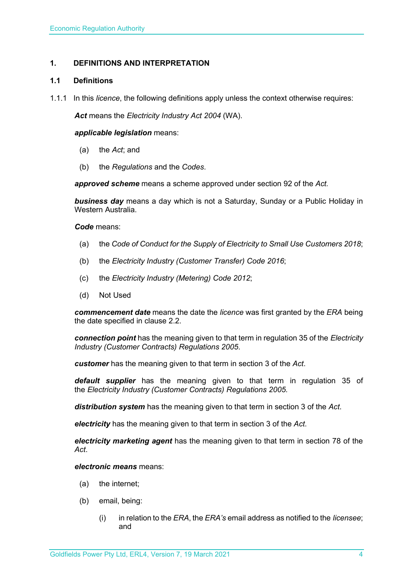#### **1. DEFINITIONS AND INTERPRETATION**

#### **1.1 Definitions**

1.1.1 In this *licence*, the following definitions apply unless the context otherwise requires:

*Act* means the *Electricity Industry Act 2004* (WA).

#### *applicable legislation* means:

- (a) the *Act*; and
- (b) the *Regulations* and the *Codes*.

*approved scheme* means a scheme approved under section 92 of the *Act.* 

*business day* means a day which is not a Saturday, Sunday or a Public Holiday in Western Australia.

*Code* means:

- (a) the *Code of Conduct for the Supply of Electricity to Small Use Customers 2018*;
- (b) the *Electricity Industry (Customer Transfer) Code 2016*;
- (c) the *Electricity Industry (Metering) Code 2012*;
- (d) Not Used

*commencement date* means the date the *licence* was first granted by the *ERA* being the date specified in clause 2.2.

*connection point* has the meaning given to that term in regulation 35 of the *Electricity Industry (Customer Contracts) Regulations 2005*.

*customer* has the meaning given to that term in section 3 of the *Act*.

*default supplier* has the meaning given to that term in regulation 35 of the *Electricity Industry (Customer Contracts) Regulations 2005.*

*distribution system* has the meaning given to that term in section 3 of the *Act*.

*electricity* has the meaning given to that term in section 3 of the *Act*.

*electricity marketing agent* has the meaning given to that term in section 78 of the *Act*.

*electronic means* means:

- (a) the internet;
- (b) email, being:
	- (i) in relation to the *ERA*, the *ERA's* email address as notified to the *licensee*; and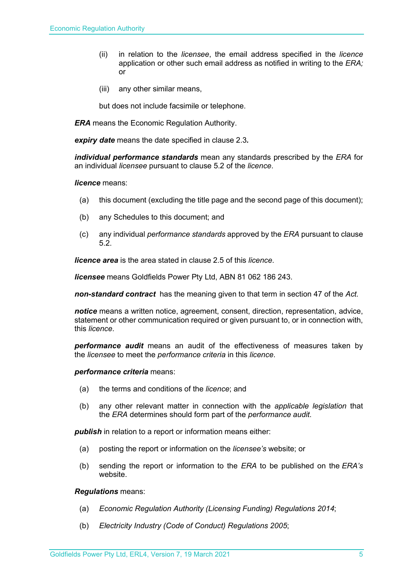- (ii) in relation to the *licensee*, the email address specified in the *licence* application or other such email address as notified in writing to the *ERA;* or
- (iii) any other similar means,

but does not include facsimile or telephone.

*ERA* means the Economic Regulation Authority.

*expiry date* means the date specified in clause 2.3*.*

*individual performance standards* mean any standards prescribed by the *ERA* for an individual *licensee* pursuant to clause 5.2 of the *licence*.

#### *licence* means:

- (a) this document (excluding the title page and the second page of this document);
- (b) any Schedules to this document; and
- (c) any individual *performance standards* approved by the *ERA* pursuant to clause 5.2.

*licence area* is the area stated in clause 2.5 of this *licence*.

*licensee* means Goldfields Power Pty Ltd, ABN 81 062 186 243.

*non-standard contract* has the meaning given to that term in section 47 of the *Act.* 

*notice* means a written notice, agreement, consent, direction, representation, advice, statement or other communication required or given pursuant to, or in connection with, this *licence*.

*performance audit* means an audit of the effectiveness of measures taken by the *licensee* to meet the *performance criteria* in this *licence*.

#### *performance criteria* means:

- (a) the terms and conditions of the *licence*; and
- (b) any other relevant matter in connection with the *applicable legislation* that the *ERA* determines should form part of the *performance audit*.

*publish* in relation to a report or information means either:

- (a) posting the report or information on the *licensee's* website; or
- (b) sending the report or information to the *ERA* to be published on the *ERA's* website.

#### *Regulations* means:

- (a) *Economic Regulation Authority (Licensing Funding) Regulations 2014*;
- (b) *Electricity Industry (Code of Conduct) Regulations 2005*;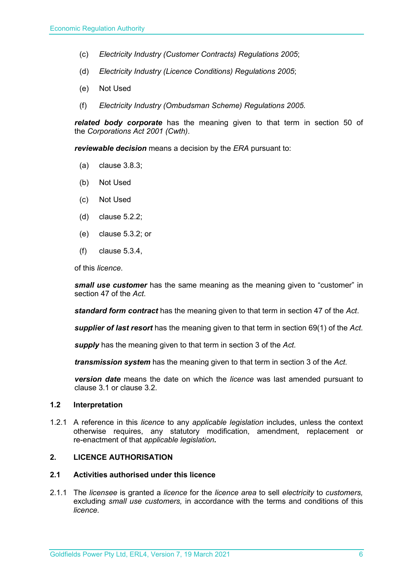- (c) *Electricity Industry (Customer Contracts) Regulations 2005*;
- (d) *Electricity Industry (Licence Conditions) Regulations 2005*;
- (e) Not Used
- (f) *Electricity Industry (Ombudsman Scheme) Regulations 2005.*

*related body corporate* has the meaning given to that term in section 50 of the *Corporations Act 2001 (Cwth)*.

*reviewable decision* means a decision by the *ERA* pursuant to:

- (a) clause 3.8.3;
- (b) Not Used
- (c) Not Used
- (d) clause 5.2.2;
- (e) clause 5.3.2; or
- (f) clause 5.3.4,

of this *licence*.

*small use customer* has the same meaning as the meaning given to "customer" in section 47 of the *Act*.

*standard form contract* has the meaning given to that term in section 47 of the *Act*.

*supplier of last resort* has the meaning given to that term in section 69(1) of the *Act*.

*supply* has the meaning given to that term in section 3 of the *Act*.

*transmission system* has the meaning given to that term in section 3 of the *Act*.

*version date* means the date on which the *licence* was last amended pursuant to clause 3.1 or clause 3.2.

#### **1.2 Interpretation**

1.2.1 A reference in this *licence* to any *applicable legislation* includes, unless the context otherwise requires, any statutory modification, amendment, replacement or re-enactment of that *applicable legislation.*

#### **2. LICENCE AUTHORISATION**

#### **2.1 Activities authorised under this licence**

2.1.1 The *licensee* is granted a *licence* for the *licence area* to sell *electricity* to *customers,*  excluding *small use customers,* in accordance with the terms and conditions of this *licence.*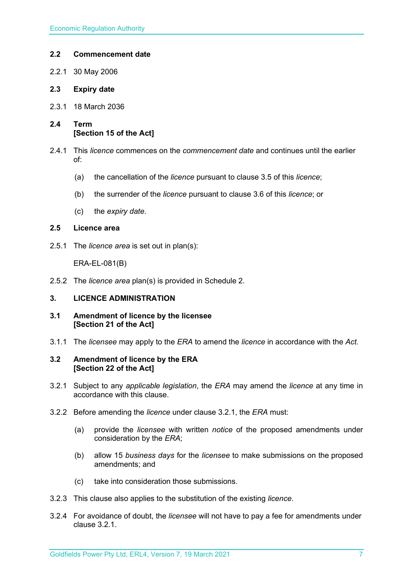#### **2.2 Commencement date**

- 2.2.1 30 May 2006
- **2.3 Expiry date**
- 2.3.1 18 March 2036
- **2.4 Term [Section 15 of the Act]**
- 2.4.1 This *licence* commences on the *commencement date* and continues until the earlier of:
	- (a) the cancellation of the *licence* pursuant to clause 3.5 of this *licence*;
	- (b) the surrender of the *licence* pursuant to clause 3.6 of this *licence*; or
	- (c) the *expiry date*.

#### **2.5 Licence area**

2.5.1 The *licence area* is set out in plan(s):

ERA-EL-081(B)

2.5.2 The *licence area* plan(s) is provided in Schedule 2.

#### **3. LICENCE ADMINISTRATION**

- **3.1 Amendment of licence by the licensee [Section 21 of the Act]**
- 3.1.1 The *licensee* may apply to the *ERA* to amend the *licence* in accordance with the *Act.*

#### **3.2 Amendment of licence by the ERA [Section 22 of the Act]**

- 3.2.1 Subject to any *applicable legislation*, the *ERA* may amend the *licence* at any time in accordance with this clause.
- 3.2.2 Before amending the *licence* under clause 3.2.1, the *ERA* must:
	- (a) provide the *licensee* with written *notice* of the proposed amendments under consideration by the *ERA*;
	- (b) allow 15 *business days* for the *licensee* to make submissions on the proposed amendments; and
	- (c) take into consideration those submissions.
- 3.2.3 This clause also applies to the substitution of the existing *licence*.
- 3.2.4 For avoidance of doubt, the *licensee* will not have to pay a fee for amendments under clause 3.2.1.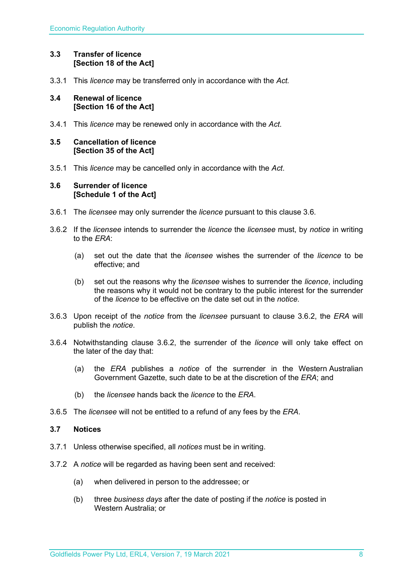#### **3.3 Transfer of licence [Section 18 of the Act]**

3.3.1 This *licence* may be transferred only in accordance with the *Act.*

#### **3.4 Renewal of licence [Section 16 of the Act]**

3.4.1 This *licence* may be renewed only in accordance with the *Act*.

#### **3.5 Cancellation of licence [Section 35 of the Act]**

3.5.1 This *licence* may be cancelled only in accordance with the *Act*.

#### **3.6 Surrender of licence [Schedule 1 of the Act]**

- 3.6.1 The *licensee* may only surrender the *licence* pursuant to this clause 3.6.
- 3.6.2 If the *licensee* intends to surrender the *licence* the *licensee* must, by *notice* in writing to the *ERA*:
	- (a) set out the date that the *licensee* wishes the surrender of the *licence* to be effective; and
	- (b) set out the reasons why the *licensee* wishes to surrender the *licence*, including the reasons why it would not be contrary to the public interest for the surrender of the *licence* to be effective on the date set out in the *notice*.
- 3.6.3 Upon receipt of the *notice* from the *licensee* pursuant to clause 3.6.2, the *ERA* will publish the *notice*.
- 3.6.4 Notwithstanding clause 3.6.2, the surrender of the *licence* will only take effect on the later of the day that:
	- (a) the *ERA* publishes a *notice* of the surrender in the Western Australian Government Gazette, such date to be at the discretion of the *ERA*; and
	- (b) the *licensee* hands back the *licence* to the *ERA*.
- 3.6.5 The *licensee* will not be entitled to a refund of any fees by the *ERA*.

#### **3.7 Notices**

- 3.7.1 Unless otherwise specified, all *notices* must be in writing.
- 3.7.2 A *notice* will be regarded as having been sent and received:
	- (a) when delivered in person to the addressee; or
	- (b) three *business days* after the date of posting if the *notice* is posted in Western Australia; or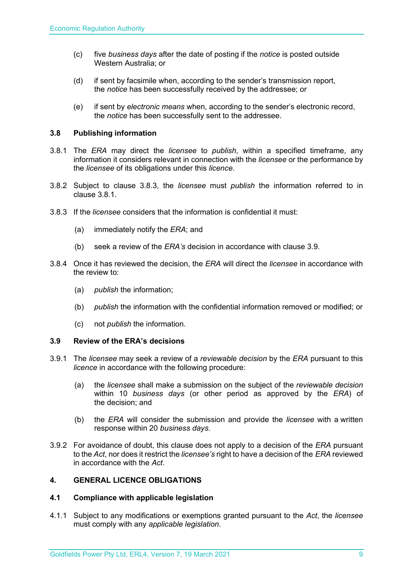- (c) five *business days* after the date of posting if the *notice* is posted outside Western Australia; or
- (d) if sent by facsimile when, according to the sender's transmission report, the *notice* has been successfully received by the addressee; or
- (e) if sent by *electronic means* when, according to the sender's electronic record, the *notice* has been successfully sent to the addressee.

#### **3.8 Publishing information**

- 3.8.1 The *ERA* may direct the *licensee* to *publish*, within a specified timeframe, any information it considers relevant in connection with the *licensee* or the performance by the *licensee* of its obligations under this *licence*.
- 3.8.2 Subject to clause 3.8.3, the *licensee* must *publish* the information referred to in clause 3.8.1.
- 3.8.3 If the *licensee* considers that the information is confidential it must:
	- (a) immediately notify the *ERA*; and
	- (b) seek a review of the *ERA's* decision in accordance with clause 3.9.
- 3.8.4 Once it has reviewed the decision, the *ERA* will direct the *licensee* in accordance with the review to:
	- (a) *publish* the information;
	- (b) *publish* the information with the confidential information removed or modified; or
	- (c) not *publish* the information.

#### **3.9 Review of the ERA's decisions**

- 3.9.1 The *licensee* may seek a review of a *reviewable decision* by the *ERA* pursuant to this *licence* in accordance with the following procedure:
	- (a) the *licensee* shall make a submission on the subject of the *reviewable decision* within 10 *business days* (or other period as approved by the *ERA*) of the decision; and
	- (b) the *ERA* will consider the submission and provide the *licensee* with a written response within 20 *business days*.
- 3.9.2 For avoidance of doubt, this clause does not apply to a decision of the *ERA* pursuant to the *Act*, nor does it restrict the *licensee's* right to have a decision of the *ERA* reviewed in accordance with the *Act*.

#### **4. GENERAL LICENCE OBLIGATIONS**

#### **4.1 Compliance with applicable legislation**

4.1.1 Subject to any modifications or exemptions granted pursuant to the *Act*, the *licensee* must comply with any *applicable legislation*.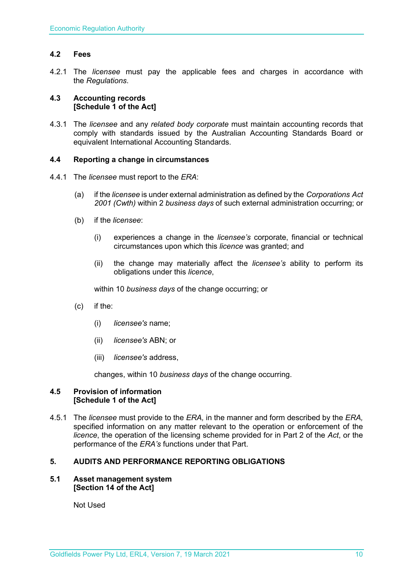#### **4.2 Fees**

4.2.1 The *licensee* must pay the applicable fees and charges in accordance with the *Regulations*.

#### **4.3 Accounting records [Schedule 1 of the Act]**

4.3.1 The *licensee* and any *related body corporate* must maintain accounting records that comply with standards issued by the Australian Accounting Standards Board or equivalent International Accounting Standards.

#### **4.4 Reporting a change in circumstances**

- 4.4.1 The *licensee* must report to the *ERA*:
	- (a) if the *licensee* is under external administration as defined by the *Corporations Act 2001 (Cwth)* within 2 *business days* of such external administration occurring; or
	- (b) if the *licensee*:
		- (i) experiences a change in the *licensee's* corporate, financial or technical circumstances upon which this *licence* was granted; and
		- (ii) the change may materially affect the *licensee's* ability to perform its obligations under this *licence*,

within 10 *business days* of the change occurring; or

- (c) if the:
	- (i) *licensee's* name;
	- (ii) *licensee's* ABN; or
	- (iii) *licensee's* address,

changes, within 10 *business days* of the change occurring.

#### **4.5 Provision of information [Schedule 1 of the Act]**

4.5.1 The *licensee* must provide to the *ERA,* in the manner and form described by the *ERA,*  specified information on any matter relevant to the operation or enforcement of the *licence*, the operation of the licensing scheme provided for in Part 2 of the *Act*, or the performance of the *ERA's* functions under that Part.

#### **5. AUDITS AND PERFORMANCE REPORTING OBLIGATIONS**

#### **5.1 Asset management system [Section 14 of the Act]**

Not Used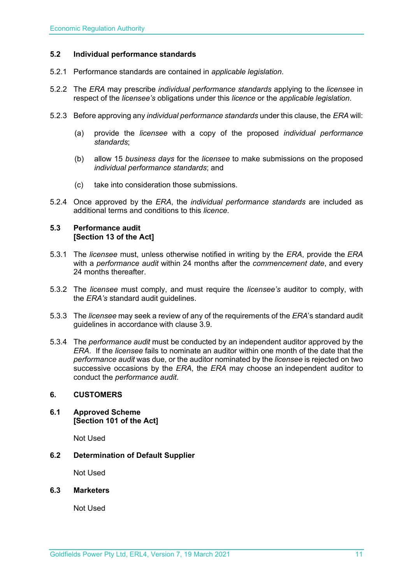#### **5.2 Individual performance standards**

- 5.2.1 Performance standards are contained in *applicable legislation*.
- 5.2.2 The *ERA* may prescribe *individual performance standards* applying to the *licensee* in respect of the *licensee's* obligations under this *licence* or the *applicable legislation*.
- 5.2.3 Before approving any *individual performance standards* under this clause, the *ERA* will:
	- (a) provide the *licensee* with a copy of the proposed *individual performance standards*;
	- (b) allow 15 *business days* for the *licensee* to make submissions on the proposed *individual performance standards*; and
	- (c) take into consideration those submissions.
- 5.2.4 Once approved by the *ERA*, the *individual performance standards* are included as additional terms and conditions to this *licence*.

#### **5.3 Performance audit [Section 13 of the Act]**

- 5.3.1 The *licensee* must, unless otherwise notified in writing by the *ERA*, provide the *ERA* with a *performance audit* within 24 months after the *commencement date*, and every 24 months thereafter.
- 5.3.2 The *licensee* must comply, and must require the *licensee's* auditor to comply, with the *ERA's* standard audit guidelines.
- 5.3.3 The *licensee* may seek a review of any of the requirements of the *ERA*'s standard audit guidelines in accordance with clause 3.9.
- 5.3.4 The *performance audit* must be conducted by an independent auditor approved by the *ERA*. If the *licensee* fails to nominate an auditor within one month of the date that the *performance audit* was due, or the auditor nominated by the *licensee* is rejected on two successive occasions by the *ERA*, the *ERA* may choose an independent auditor to conduct the *performance audit*.

#### **6. CUSTOMERS**

**6.1 Approved Scheme [Section 101 of the Act]**

Not Used

**6.2 Determination of Default Supplier** 

Not Used

#### **6.3 Marketers**

Not Used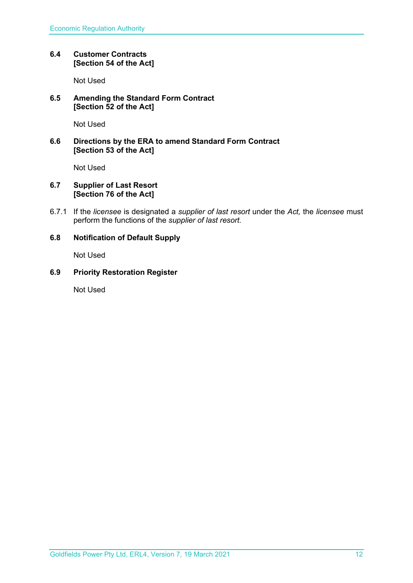#### **6.4 Customer Contracts [Section 54 of the Act]**

Not Used

#### **6.5 Amending the Standard Form Contract [Section 52 of the Act]**

Not Used

#### **6.6 Directions by the ERA to amend Standard Form Contract [Section 53 of the Act]**

Not Used

#### **6.7 Supplier of Last Resort [Section 76 of the Act]**

6.7.1 If the *licensee* is designated a *supplier of last resort* under the *Act,* the *licensee* must perform the functions of the *supplier of last resort.* 

#### **6.8 Notification of Default Supply**

Not Used

#### **6.9 Priority Restoration Register**

Not Used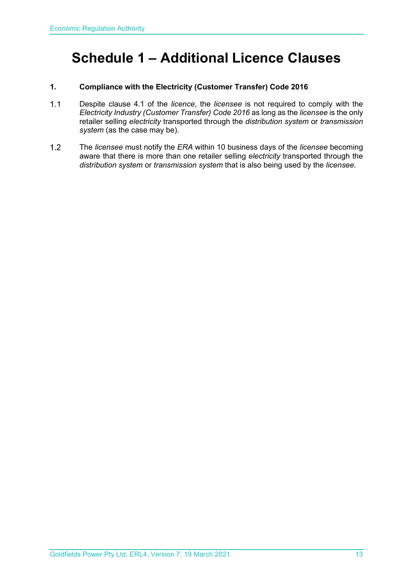## **Schedule 1 – Additional Licence Clauses**

#### **1. Compliance with the Electricity (Customer Transfer) Code 2016**

- $1.1$ Despite clause 4.1 of the *licence*, the *licensee* is not required to comply with the *Electricity Industry (Customer Transfer) Code 2016* as long as the *licensee* is the only retailer selling *electricity* transported through the *distribution system* or *transmission system* (as the case may be).
- $1.2$ The *licensee* must notify the *ERA* within 10 business days of the *licensee* becoming aware that there is more than one retailer selling *electricity* transported through the *distribution system* or *transmission system* that is also being used by the *licensee*.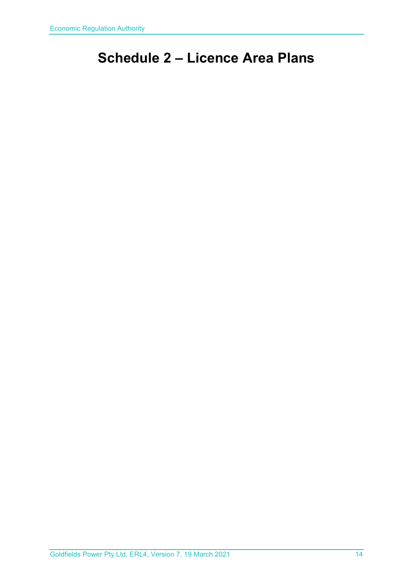# **Schedule 2 – Licence Area Plans**